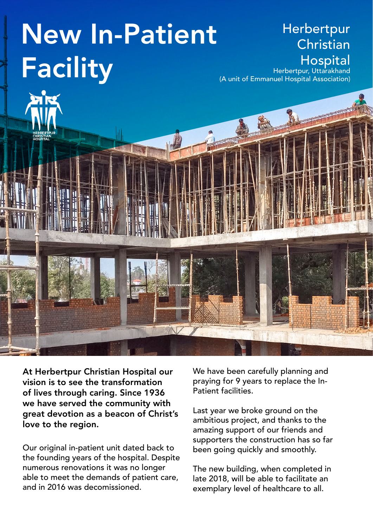# New In-Patient Facility

# Herbertpur Christian Hospital<br>Herbertpur, Uttarakhand

(A unit of Emmanuel Hospital Association)

At Herbertpur Christian Hospital our vision is to see the transformation of lives through caring. Since 1936 we have served the community with great devotion as a beacon of Christ's love to the region.

Our original in-patient unit dated back to the founding years of the hospital. Despite numerous renovations it was no longer able to meet the demands of patient care, and in 2016 was decomissioned.

We have been carefully planning and praying for 9 years to replace the In-Patient facilities.

Last year we broke ground on the ambitious project, and thanks to the amazing support of our friends and supporters the construction has so far been going quickly and smoothly.

The new building, when completed in late 2018, will be able to facilitate an exemplary level of healthcare to all.